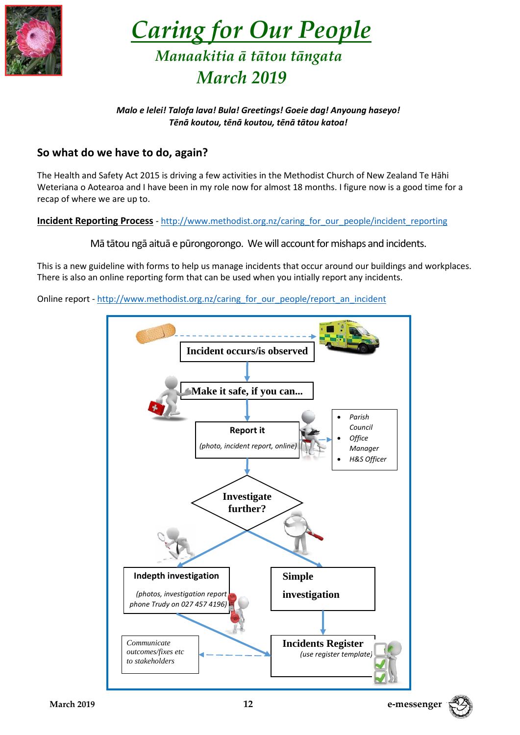

 *Caring for Our People Manaakitia ā tātou tāngata March 2019*

## *Malo e lelei! Talofa lava! Bula! Greetings! Goeie dag! Anyoung haseyo! Tēnā koutou, tēnā koutou, tēnā tātou katoa!*

# **So what do we have to do, again?**

The Health and Safety Act 2015 is driving a few activities in the Methodist Church of New Zealand Te Hāhi Weteriana o Aotearoa and I have been in my role now for almost 18 months. I figure now is a good time for a recap of where we are up to.

## **Incident Reporting Process** - [http://www.methodist.org.nz/caring\\_for\\_our\\_people/incident\\_reporting](http://www.methodist.org.nz/caring_for_our_people/incident_reporting)

Mā tātou ngā aituā e pūrongorongo. We will account for mishaps and incidents.

This is a new guideline with forms to help us manage incidents that occur around our buildings and workplaces. There is also an online reporting form that can be used when you intially report any incidents.

Online report - [http://www.methodist.org.nz/caring\\_for\\_our\\_people/report\\_an\\_incident](http://www.methodist.org.nz/caring_for_our_people/report_an_incident)